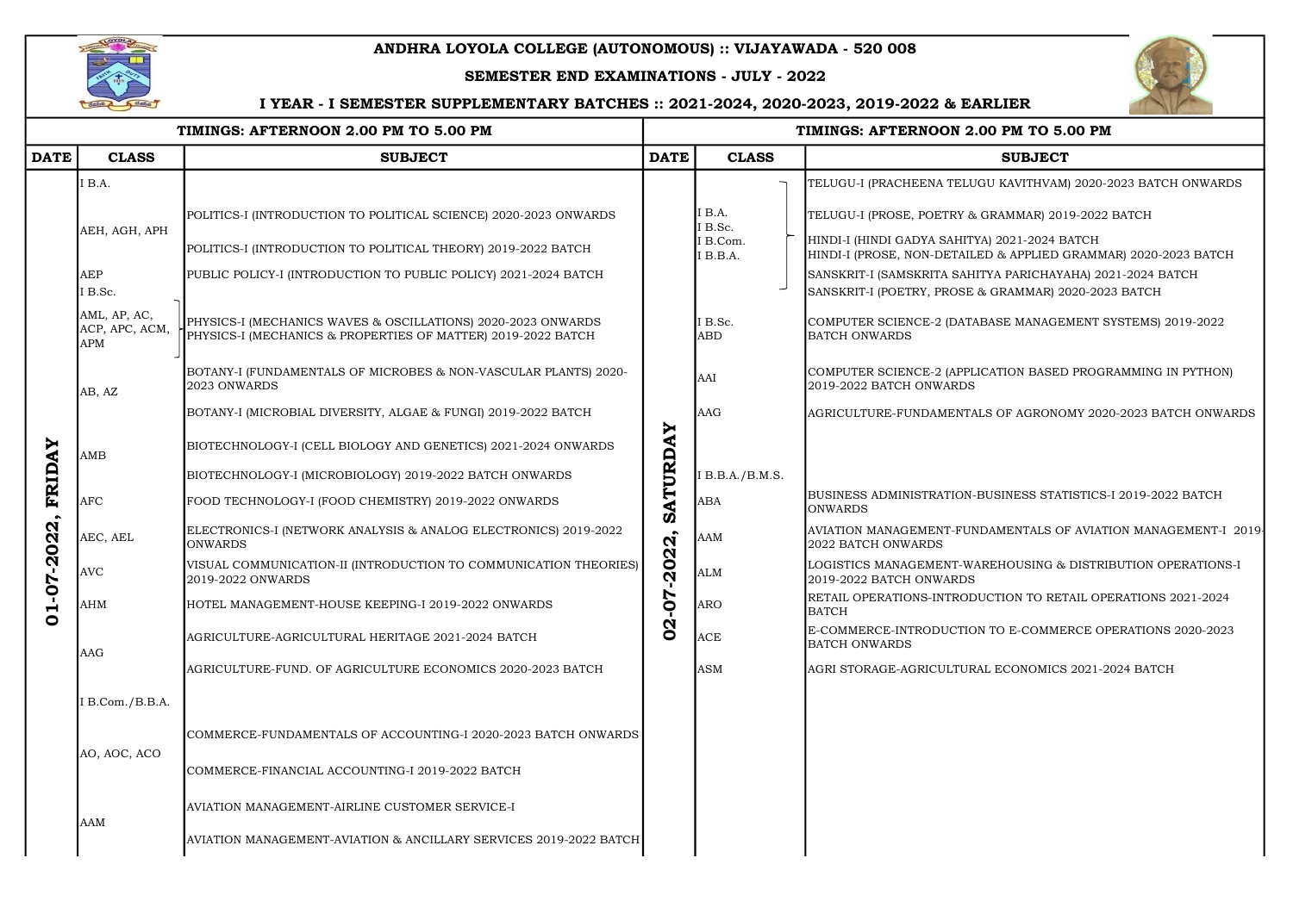## ANDHRA LOYOLA COLLEGE (AUTONOMOUS) :: VIJAYAWADA - 520 008



### SEMESTER END EXAMINATIONS - JULY - 2022

|                                 |                                              | TIMINGS: AFTERNOON 2.00 PM TO 5.00 PM                                                                                        | TIMINGS: AFTERNOON 2.00 PM TO 5.00 PM |                      |                                                                                                                  |  |  |
|---------------------------------|----------------------------------------------|------------------------------------------------------------------------------------------------------------------------------|---------------------------------------|----------------------|------------------------------------------------------------------------------------------------------------------|--|--|
| <b>DATE</b>                     | <b>CLASS</b>                                 | <b>SUBJECT</b>                                                                                                               | <b>DATE</b>                           | <b>CLASS</b>         | <b>SUBJECT</b>                                                                                                   |  |  |
|                                 | IB.A.                                        |                                                                                                                              |                                       |                      | TELUGU-I (PRACHEENA TELUGU KAVITHVAM) 2020-2023 BATCH ONWARDS                                                    |  |  |
|                                 | AEH, AGH, APH                                | POLITICS-I (INTRODUCTION TO POLITICAL SCIENCE) 2020-2023 ONWARDS                                                             |                                       | I B.A.<br>I B.Sc.    | TELUGU-I (PROSE, POETRY & GRAMMAR) 2019-2022 BATCH                                                               |  |  |
|                                 |                                              | POLITICS-I (INTRODUCTION TO POLITICAL THEORY) 2019-2022 BATCH                                                                |                                       | I B.Com.<br>I B.B.A. | HINDI-I (HINDI GADYA SAHITYA) 2021-2024 BATCH<br>HINDI-I (PROSE, NON-DETAILED & APPLIED GRAMMAR) 2020-2023 BATCH |  |  |
|                                 | <b>AEP</b>                                   | PUBLIC POLICY-I (INTRODUCTION TO PUBLIC POLICY) 2021-2024 BATCH                                                              |                                       |                      | SANSKRIT-I (SAMSKRITA SAHITYA PARICHAYAHA) 2021-2024 BATCH                                                       |  |  |
|                                 | I B.Sc.                                      |                                                                                                                              |                                       |                      | SANSKRIT-I (POETRY, PROSE & GRAMMAR) 2020-2023 BATCH                                                             |  |  |
|                                 | AML, AP, AC,<br>ACP, APC, ACM,<br><b>APM</b> | PHYSICS-I (MECHANICS WAVES & OSCILLATIONS) 2020-2023 ONWARDS<br>PHYSICS-I (MECHANICS & PROPERTIES OF MATTER) 2019-2022 BATCH |                                       | I B.Sc.<br>ABD       | COMPUTER SCIENCE-2 (DATABASE MANAGEMENT SYSTEMS) 2019-2022<br><b>BATCH ONWARDS</b>                               |  |  |
|                                 | AB, AZ                                       | BOTANY-I (FUNDAMENTALS OF MICROBES & NON-VASCULAR PLANTS) 2020-<br>2023 ONWARDS                                              |                                       | AAI                  | COMPUTER SCIENCE-2 (APPLICATION BASED PROGRAMMING IN PYTHON)<br>2019-2022 BATCH ONWARDS                          |  |  |
|                                 |                                              | BOTANY-I (MICROBIAL DIVERSITY, ALGAE & FUNGI) 2019-2022 BATCH                                                                |                                       | AAG                  | AGRICULTURE-FUNDAMENTALS OF AGRONOMY 2020-2023 BATCH ONWARDS                                                     |  |  |
|                                 | $\overline{\text{AMB}}$                      | BIOTECHNOLOGY-I (CELL BIOLOGY AND GENETICS) 2021-2024 ONWARDS                                                                | SATURDAY                              |                      |                                                                                                                  |  |  |
| FRIDAY                          |                                              | BIOTECHNOLOGY-I (MICROBIOLOGY) 2019-2022 BATCH ONWARDS                                                                       |                                       | I B.B.A./B.M.S.      |                                                                                                                  |  |  |
| $-2022$<br>70<br>−<br>$\bullet$ | <b>AFC</b>                                   | FOOD TECHNOLOGY-I (FOOD CHEMISTRY) 2019-2022 ONWARDS                                                                         |                                       | <b>ABA</b>           | BUSINESS ADMINISTRATION-BUSINESS STATISTICS-I 2019-2022 BATCH<br><b>ONWARDS</b>                                  |  |  |
|                                 | AEC, AEL                                     | ELECTRONICS-I (NETWORK ANALYSIS & ANALOG ELECTRONICS) 2019-2022<br><b>ONWARDS</b>                                            |                                       | <b>AAM</b>           | AVIATION MANAGEMENT-FUNDAMENTALS OF AVIATION MANAGEMENT-I 2019<br>2022 BATCH ONWARDS                             |  |  |
|                                 | <b>AVC</b>                                   | VISUAL COMMUNICATION-II (INTRODUCTION TO COMMUNICATION THEORIES)<br>2019-2022 ONWARDS                                        | 2022                                  | <b>ALM</b>           | LOGISTICS MANAGEMENT-WAREHOUSING & DISTRIBUTION OPERATIONS-I<br>2019-2022 BATCH ONWARDS                          |  |  |
|                                 | AHM                                          | HOTEL MANAGEMENT-HOUSE KEEPING-I 2019-2022 ONWARDS                                                                           | 50                                    | <b>ARO</b>           | RETAIL OPERATIONS-INTRODUCTION TO RETAIL OPERATIONS 2021-2024<br><b>BATCH</b>                                    |  |  |
|                                 | <b>AAG</b>                                   | AGRICULTURE-AGRICULTURAL HERITAGE 2021-2024 BATCH                                                                            | $\mathbf{S}$                          | <b>ACE</b>           | E-COMMERCE-INTRODUCTION TO E-COMMERCE OPERATIONS 2020-2023<br><b>BATCH ONWARDS</b>                               |  |  |
|                                 |                                              | AGRICULTURE-FUND. OF AGRICULTURE ECONOMICS 2020-2023 BATCH                                                                   |                                       | <b>ASM</b>           | AGRI STORAGE-AGRICULTURAL ECONOMICS 2021-2024 BATCH                                                              |  |  |
|                                 | I B.Com./B.B.A.                              |                                                                                                                              |                                       |                      |                                                                                                                  |  |  |
|                                 | AO, AOC, ACO                                 | COMMERCE-FUNDAMENTALS OF ACCOUNTING-I 2020-2023 BATCH ONWARDS                                                                |                                       |                      |                                                                                                                  |  |  |
|                                 |                                              | COMMERCE-FINANCIAL ACCOUNTING-I 2019-2022 BATCH                                                                              |                                       |                      |                                                                                                                  |  |  |
|                                 | <b>AAM</b>                                   | AVIATION MANAGEMENT-AIRLINE CUSTOMER SERVICE-I                                                                               |                                       |                      |                                                                                                                  |  |  |
|                                 |                                              | AVIATION MANAGEMENT-AVIATION & ANCILLARY SERVICES 2019-2022 BATCH                                                            |                                       |                      |                                                                                                                  |  |  |



### :.00 PM TO 5.00 PM

## I YEAR - I SEMESTER SUPPLEMENTARY BATCHES :: 2021-2024, 2020-2023, 2019-2022 & EARLIER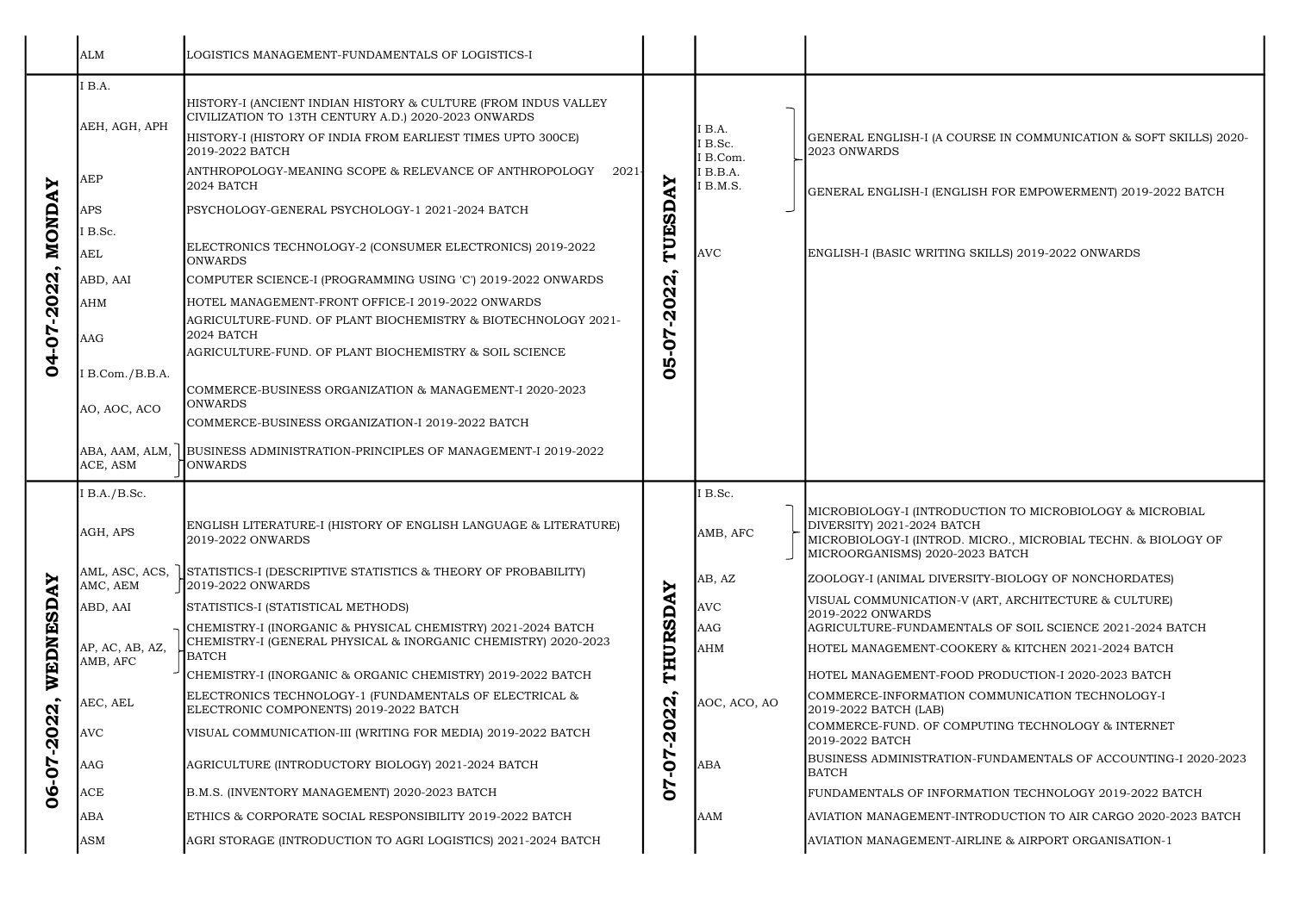|                      | <b>ALM</b>                  | LOGISTICS MANAGEMENT-FUNDAMENTALS OF LOGISTICS-I                                                                                                                                                                                                                           |                                           |                                                 |                                                                                                                                                                                            |
|----------------------|-----------------------------|----------------------------------------------------------------------------------------------------------------------------------------------------------------------------------------------------------------------------------------------------------------------------|-------------------------------------------|-------------------------------------------------|--------------------------------------------------------------------------------------------------------------------------------------------------------------------------------------------|
| NONDAY<br>04-07-2022 | I B.A.<br>AEH, AGH, APH     | HISTORY-I (ANCIENT INDIAN HISTORY & CULTURE (FROM INDUS VALLEY<br>CIVILIZATION TO 13TH CENTURY A.D.) 2020-2023 ONWARDS<br>HISTORY-I (HISTORY OF INDIA FROM EARLIEST TIMES UPTO 300CE)<br>2019-2022 BATCH<br>ANTHROPOLOGY-MEANING SCOPE & RELEVANCE OF ANTHROPOLOGY<br>2021 |                                           | IB.A.<br>I B.Sc.<br><b>B.Com.</b><br>$I$ B.B.A. | GENERAL ENGLISH-I (A COURSE IN COMMUNICATION & SOFT SKILLS) 20<br>2023 ONWARDS                                                                                                             |
|                      | AEP<br><b>APS</b>           | 2024 BATCH<br>PSYCHOLOGY-GENERAL PSYCHOLOGY-1 2021-2024 BATCH                                                                                                                                                                                                              | $\blacktriangleright$<br>⋖                | I B.M.S.                                        | GENERAL ENGLISH-I (ENGLISH FOR EMPOWERMENT) 2019-2022 BATCH                                                                                                                                |
|                      | IB.Sc.                      |                                                                                                                                                                                                                                                                            |                                           |                                                 |                                                                                                                                                                                            |
|                      | <b>AEL</b>                  | ELECTRONICS TECHNOLOGY-2 (CONSUMER ELECTRONICS) 2019-2022<br><b>ONWARDS</b>                                                                                                                                                                                                | TUESD                                     | <b>AVC</b>                                      | ENGLISH-I (BASIC WRITING SKILLS) 2019-2022 ONWARDS                                                                                                                                         |
|                      | ABD, AAI                    | COMPUTER SCIENCE-I (PROGRAMMING USING 'C') 2019-2022 ONWARDS                                                                                                                                                                                                               | $\boldsymbol{\mathsf{N}}$                 |                                                 |                                                                                                                                                                                            |
|                      | <b>AHM</b>                  | HOTEL MANAGEMENT-FRONT OFFICE-I 2019-2022 ONWARDS                                                                                                                                                                                                                          | $\boldsymbol{\alpha}$                     |                                                 |                                                                                                                                                                                            |
|                      | <b>AAG</b>                  | AGRICULTURE-FUND. OF PLANT BIOCHEMISTRY & BIOTECHNOLOGY 2021-<br>2024 BATCH<br>AGRICULTURE-FUND. OF PLANT BIOCHEMISTRY & SOIL SCIENCE                                                                                                                                      | $\overline{\mathbf{S}}$<br>L<br>$\bullet$ |                                                 |                                                                                                                                                                                            |
|                      | I B.Com./B.B.A.             |                                                                                                                                                                                                                                                                            | Ŋ<br>$\bullet$                            |                                                 |                                                                                                                                                                                            |
|                      | AO, AOC, ACO                | COMMERCE-BUSINESS ORGANIZATION & MANAGEMENT-I 2020-2023<br><b>ONWARDS</b><br>COMMERCE-BUSINESS ORGANIZATION-I 2019-2022 BATCH                                                                                                                                              |                                           |                                                 |                                                                                                                                                                                            |
|                      | ABA, AAM, ALM,<br>ACE, ASM  | BUSINESS ADMINISTRATION-PRINCIPLES OF MANAGEMENT-I 2019-2022<br><b>JONWARDS</b>                                                                                                                                                                                            |                                           |                                                 |                                                                                                                                                                                            |
|                      | I B.A./B.Sc.                |                                                                                                                                                                                                                                                                            |                                           | I B.Sc.                                         |                                                                                                                                                                                            |
|                      | AGH, APS                    | ENGLISH LITERATURE-I (HISTORY OF ENGLISH LANGUAGE & LITERATURE)<br>2019-2022 ONWARDS                                                                                                                                                                                       |                                           | AMB, AFC                                        | MICROBIOLOGY-I (INTRODUCTION TO MICROBIOLOGY & MICROBIAL<br>DIVERSITY) 2021-2024 BATCH<br>MICROBIOLOGY-I (INTROD. MICRO., MICROBIAL TECHN. & BIOLOGY OF<br>MICROORGANISMS) 2020-2023 BATCH |
| AY                   | AML, ASC, ACS,<br>AMC, AEM  | STATISTICS-I (DESCRIPTIVE STATISTICS & THEORY OF PROBABILITY)<br>2019-2022 ONWARDS                                                                                                                                                                                         | ≻                                         | AB, AZ                                          | ZOOLOGY-I (ANIMAL DIVERSITY-BIOLOGY OF NONCHORDATES)                                                                                                                                       |
|                      | ABD, AAI                    | STATISTICS-I (STATISTICAL METHODS)                                                                                                                                                                                                                                         | C                                         | <b>AVC</b>                                      | VISUAL COMMUNICATION-V (ART, ARCHITECTURE & CULTURE)<br>2019-2022 ONWARDS                                                                                                                  |
| WEDNESD              | AP, AC, AB, AZ,<br>AMB, AFC | CHEMISTRY-I (INORGANIC & PHYSICAL CHEMISTRY) 2021-2024 BATCH<br>CHEMISTRY-I (GENERAL PHYSICAL & INORGANIC CHEMISTRY) 2020-2023<br>BATCH                                                                                                                                    | THURSD                                    | <b>AAG</b><br><b>AHM</b>                        | AGRICULTURE-FUNDAMENTALS OF SOIL SCIENCE 2021-2024 BATCH<br>HOTEL MANAGEMENT-COOKERY & KITCHEN 2021-2024 BATCH                                                                             |
|                      |                             | CHEMISTRY-I (INORGANIC & ORGANIC CHEMISTRY) 2019-2022 BATCH                                                                                                                                                                                                                |                                           |                                                 | HOTEL MANAGEMENT-FOOD PRODUCTION-I 2020-2023 BATCH                                                                                                                                         |
|                      | AEC, AEL                    | ELECTRONICS TECHNOLOGY-1 (FUNDAMENTALS OF ELECTRICAL &<br>ELECTRONIC COMPONENTS) 2019-2022 BATCH                                                                                                                                                                           | $\boldsymbol{\mathsf{N}}$<br>$\mathbf{N}$ | AOC, ACO, AO                                    | COMMERCE-INFORMATION COMMUNICATION TECHNOLOGY-I<br>2019-2022 BATCH (LAB)                                                                                                                   |
| 2022<br>06-07        | <b>AVC</b>                  | VISUAL COMMUNICATION-III (WRITING FOR MEDIA) 2019-2022 BATCH                                                                                                                                                                                                               | $\bullet$<br>$\bar{\mathbf{N}}$           |                                                 | COMMERCE-FUND. OF COMPUTING TECHNOLOGY & INTERNET<br>2019-2022 BATCH                                                                                                                       |
|                      | <b>AAG</b>                  | AGRICULTURE (INTRODUCTORY BIOLOGY) 2021-2024 BATCH                                                                                                                                                                                                                         | L<br>$\mathsf{P}$                         | <b>ABA</b>                                      | BUSINESS ADMINISTRATION-FUNDAMENTALS OF ACCOUNTING-I 2020-2<br><b>BATCH</b>                                                                                                                |
|                      | ACE                         | B.M.S. (INVENTORY MANAGEMENT) 2020-2023 BATCH                                                                                                                                                                                                                              | $\overline{V}$<br>$\ddot{\mathbf{O}}$     |                                                 | FUNDAMENTALS OF INFORMATION TECHNOLOGY 2019-2022 BATCH                                                                                                                                     |
|                      | ABA                         | ETHICS & CORPORATE SOCIAL RESPONSIBILITY 2019-2022 BATCH                                                                                                                                                                                                                   |                                           | <b>AAM</b>                                      | AVIATION MANAGEMENT-INTRODUCTION TO AIR CARGO 2020-2023 BAT                                                                                                                                |
|                      | <b>ASM</b>                  | AGRI STORAGE (INTRODUCTION TO AGRI LOGISTICS) 2021-2024 BATCH                                                                                                                                                                                                              |                                           |                                                 | AVIATION MANAGEMENT-AIRLINE & AIRPORT ORGANISATION-1                                                                                                                                       |

RSE IN COMMUNICATION & SOFT SKILLS) 2020-

ALS OF SOIL SCIENCE 2021-2024 BATCH ERY & KITCHEN 2021-2024 BATCH PRODUCTION-I 2020-2023 BATCH PUTING TECHNOLOGY & INTERNET -FUNDAMENTALS OF ACCOUNTING-I 2020-2023 **IATION TECHNOLOGY 2019-2022 BATCH** TRODUCTION TO AIR CARGO 2020-2023 BATCH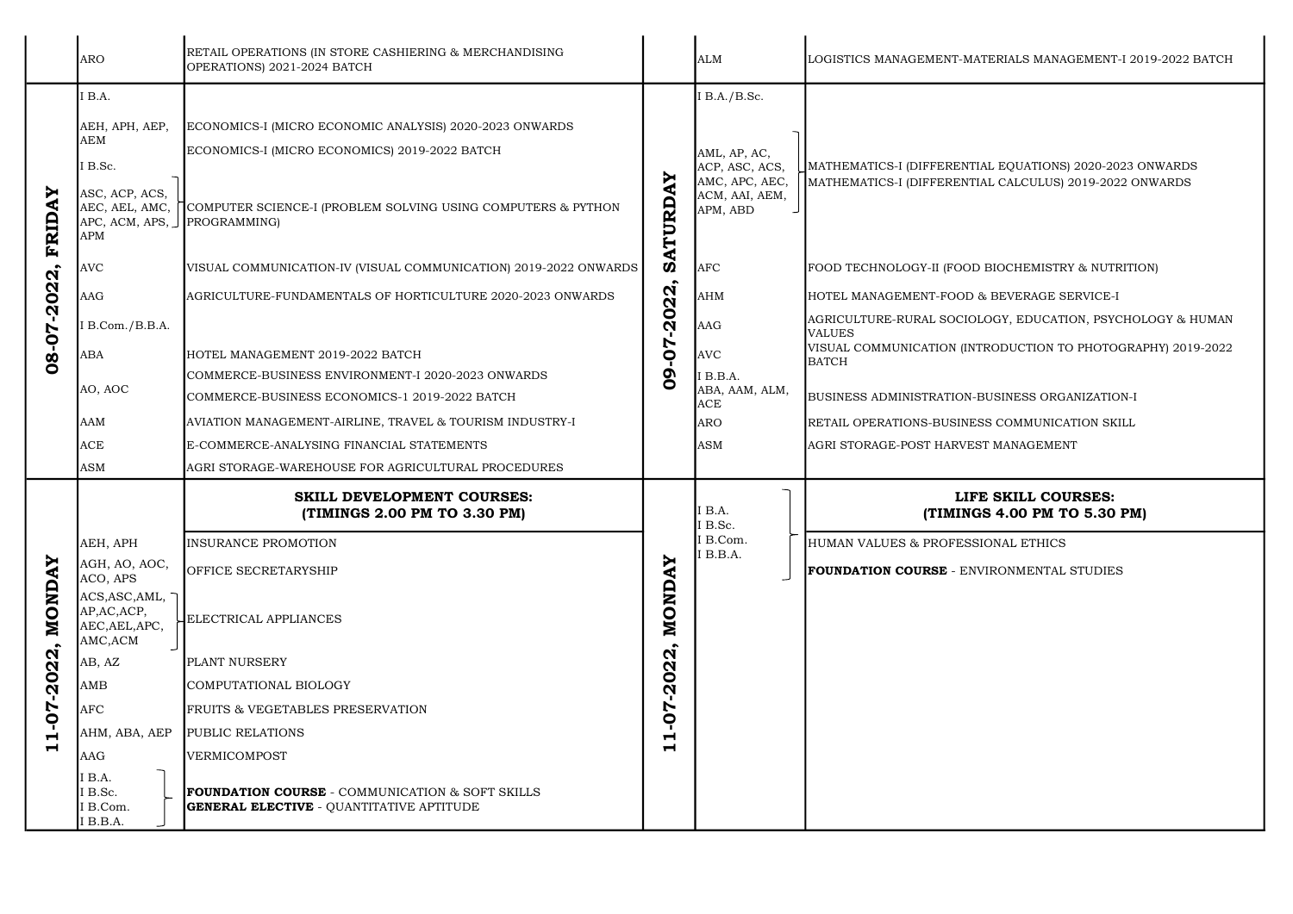|                                                                                         | <b>ARO</b>                                                                                                                                                                                                       | RETAIL OPERATIONS (IN STORE CASHIERING & MERCHANDISING<br>OPERATIONS) 2021-2024 BATCH                                                                                                                                                                                                                                                                                                                                                                               |                                                                                                                               | <b>ALM</b>                                                                                                                                                                                         | LOGISTICS MANAGEMENT-MATERIALS MANAGEMENT-I                                                                                                                                                                                                                                                                                                                                          |
|-----------------------------------------------------------------------------------------|------------------------------------------------------------------------------------------------------------------------------------------------------------------------------------------------------------------|---------------------------------------------------------------------------------------------------------------------------------------------------------------------------------------------------------------------------------------------------------------------------------------------------------------------------------------------------------------------------------------------------------------------------------------------------------------------|-------------------------------------------------------------------------------------------------------------------------------|----------------------------------------------------------------------------------------------------------------------------------------------------------------------------------------------------|--------------------------------------------------------------------------------------------------------------------------------------------------------------------------------------------------------------------------------------------------------------------------------------------------------------------------------------------------------------------------------------|
| Ņ<br>$\blacktriangleleft$<br><b>FRID.</b><br>$-2022,$<br>08-07                          | I B.A.<br>AEH, APH, AEP,<br><b>AEM</b><br>I B.Sc.<br>ASC, ACP, ACS,<br>APC, ACM, APS, JPROGRAMMING)<br><b>APM</b><br><b>AVC</b><br>AAG<br>I B.Com./B.B.A.<br><b>ABA</b><br>AO, AOC                               | ECONOMICS-I (MICRO ECONOMIC ANALYSIS) 2020-2023 ONWARDS<br>ECONOMICS-I (MICRO ECONOMICS) 2019-2022 BATCH<br>AEC, AEL, AMC, COMPUTER SCIENCE-I (PROBLEM SOLVING USING COMPUTERS & PYTHON<br>VISUAL COMMUNICATION-IV (VISUAL COMMUNICATION) 2019-2022 ONWARDS<br>AGRICULTURE-FUNDAMENTALS OF HORTICULTURE 2020-2023 ONWARDS<br>HOTEL MANAGEMENT 2019-2022 BATCH<br>COMMERCE-BUSINESS ENVIRONMENT-I 2020-2023 ONWARDS<br>COMMERCE-BUSINESS ECONOMICS-1 2019-2022 BATCH | AY<br>ATURD<br><b>V)</b><br>22<br>$\overline{\mathbf{S}}$<br>п.<br>Ŋ<br>$\mathsf{Q}$<br>$\sigma$<br>$\bullet$                 | I B.A./B.Sc.<br>AML, AP, AC,<br>ACP, ASC, ACS,<br>AMC, APC, AEC,<br>ACM, AAI, AEM,<br>APM, ABD<br><b>AFC</b><br><b>AHM</b><br><b>AAG</b><br><b>AVC</b><br>I B.B.A.<br>ABA, AAM, ALM,<br><b>ACE</b> | MATHEMATICS-I (DIFFERENTIAL EQUATIONS) 2020-202<br>MATHEMATICS-I (DIFFERENTIAL CALCULUS) 2019-2022<br>FOOD TECHNOLOGY-II (FOOD BIOCHEMISTRY & NUTRI<br>HOTEL MANAGEMENT-FOOD & BEVERAGE SERVICE-I<br>AGRICULTURE-RURAL SOCIOLOGY, EDUCATION, PSYCI<br><b>VALUES</b><br>VISUAL COMMUNICATION (INTRODUCTION TO PHOTOG<br><b>BATCH</b><br>BUSINESS ADMINISTRATION-BUSINESS ORGANIZATION |
|                                                                                         | <b>AAM</b><br><b>ACE</b><br><b>ASM</b>                                                                                                                                                                           | AVIATION MANAGEMENT-AIRLINE, TRAVEL & TOURISM INDUSTRY-I<br>E-COMMERCE-ANALYSING FINANCIAL STATEMENTS<br>AGRI STORAGE-WAREHOUSE FOR AGRICULTURAL PROCEDURES                                                                                                                                                                                                                                                                                                         |                                                                                                                               | <b>ARO</b><br>ASM                                                                                                                                                                                  | RETAIL OPERATIONS-BUSINESS COMMUNICATION SKIL<br>AGRI STORAGE-POST HARVEST MANAGEMENT                                                                                                                                                                                                                                                                                                |
|                                                                                         |                                                                                                                                                                                                                  | <b>SKILL DEVELOPMENT COURSES:</b><br>(TIMINGS 2.00 PM TO 3.30 PM)                                                                                                                                                                                                                                                                                                                                                                                                   |                                                                                                                               | I B.A.<br>I B.Sc.                                                                                                                                                                                  | LIFE SKILL COURSES:<br>(TIMINGS 4.00 PM TO 5.30 F                                                                                                                                                                                                                                                                                                                                    |
| <b>MONDAY</b><br>$\bullet$<br>$-2022$<br><b>70-</b><br>$\blacksquare$<br>$\blacksquare$ | AEH, APH<br>AGH, AO, AOC,<br>ACO, APS<br>ACS, ASC, AML,<br>AP, AC, ACP,<br>AEC, AEL, APC,<br>AMC, ACM<br>AB, AZ<br><b>AMB</b><br><b>AFC</b><br>AHM, ABA, AEP<br>AAG<br>I B.A.<br>I B.Sc.<br>I B.Com.<br>I B.B.A. | <b>INSURANCE PROMOTION</b><br><b>OFFICE SECRETARYSHIP</b><br><b>ELECTRICAL APPLIANCES</b><br><b>PLANT NURSERY</b><br>COMPUTATIONAL BIOLOGY<br><b>FRUITS &amp; VEGETABLES PRESERVATION</b><br>PUBLIC RELATIONS<br>VERMICOMPOST<br><b>FOUNDATION COURSE</b> - COMMUNICATION & SOFT SKILLS<br><b>GENERAL ELECTIVE - QUANTITATIVE APTITUDE</b>                                                                                                                          | ≻<br>$\blacktriangleleft$<br>MOND<br>$\mathbf{N}$<br>$\boldsymbol{\alpha}$<br>$\overline{a}$<br>Ņ<br>o<br>Н<br>$\blacksquare$ | I B.Com.<br>I B.B.A.                                                                                                                                                                               | HUMAN VALUES & PROFESSIONAL ETHICS<br><b>FOUNDATION COURSE</b> - ENVIRONMENTAL STUDIES                                                                                                                                                                                                                                                                                               |

ATERIALS MANAGEMENT-I 2019-2022 BATCH

### TIAL EQUATIONS) 2020-2023 ONWARDS TIAL CALCULUS) 2019-2022 ONWARDS

D BIOCHEMISTRY & NUTRITION)

DLOGY, EDUCATION, PSYCHOLOGY & HUMAN

VTRODUCTION TO PHOTOGRAPHY) 2019-2022

-BUSINESS ORGANIZATION-I

ESS COMMUNICATION SKILL

## FE SKILL COURSES: GS 4.00 PM TO 5.30 PM)